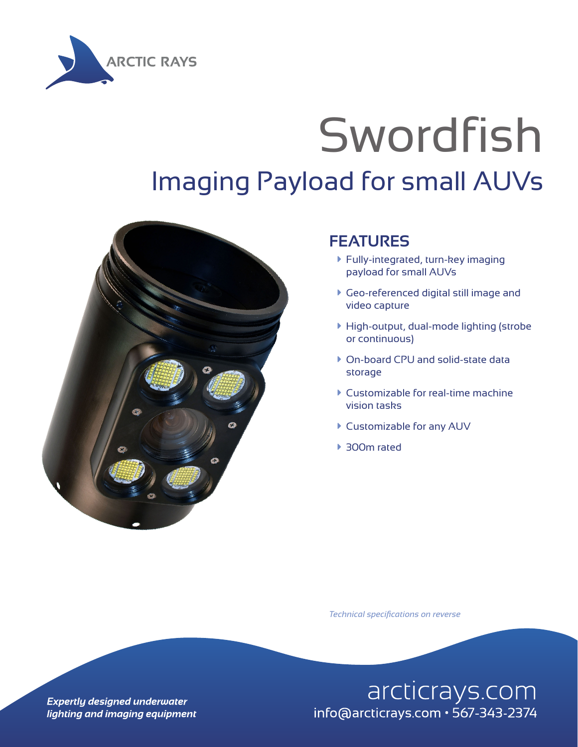

## Swordfish Imaging Payload for small AUVs



## **FEATURES**

- à Fully-integrated, turn-key imaging payload for small AUVs
- à Geo-referenced digital still image and video capture
- $\blacktriangleright$  High-output, dual-mode lighting (strobe or continuous)
- ▶ On-board CPU and solid-state data storage
- $\blacktriangleright$  Customizable for real-time machine vision tasks
- ▶ Customizable for any AUV
- ▶ 300m rated

*Technical specifications on reverse*

arcticrays.com info@arcticrays.com · 567-343-2374

**Expertly designed underwater** lighting and imaging equipment